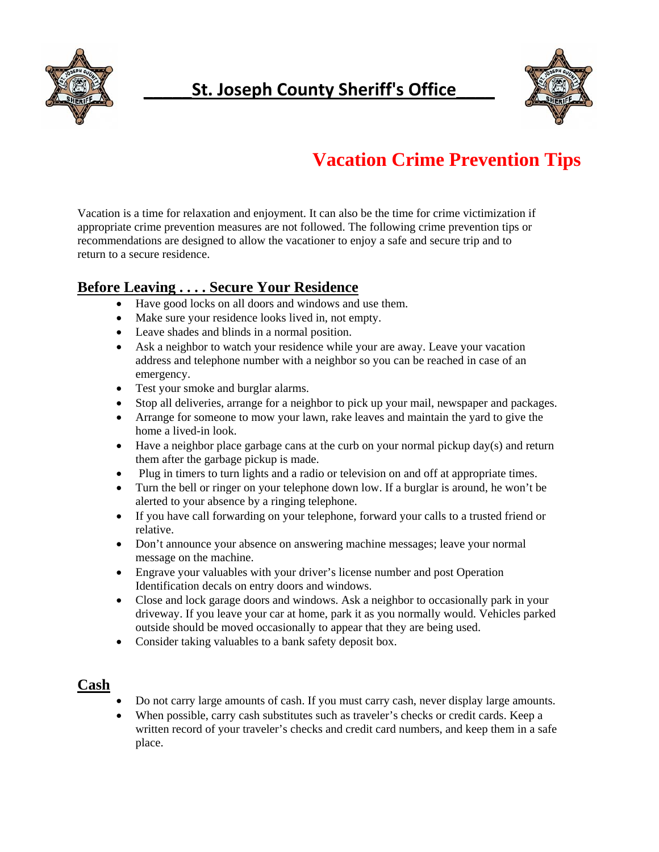

# **\_\_\_\_\_St. Joseph County Sheriff's Office\_\_\_\_**



# **Vacation Crime Prevention Tips**

Vacation is a time for relaxation and enjoyment. It can also be the time for crime victimization if appropriate crime prevention measures are not followed. The following crime prevention tips or recommendations are designed to allow the vacationer to enjoy a safe and secure trip and to return to a secure residence.

## **Before Leaving . . . . Secure Your Residence**

- Have good locks on all doors and windows and use them.
- Make sure your residence looks lived in, not empty.
- Leave shades and blinds in a normal position.
- Ask a neighbor to watch your residence while your are away. Leave your vacation address and telephone number with a neighbor so you can be reached in case of an emergency.
- Test your smoke and burglar alarms.
- Stop all deliveries, arrange for a neighbor to pick up your mail, newspaper and packages.
- Arrange for someone to mow your lawn, rake leaves and maintain the yard to give the home a lived-in look.
- Have a neighbor place garbage cans at the curb on your normal pickup day(s) and return them after the garbage pickup is made.
- Plug in timers to turn lights and a radio or television on and off at appropriate times.
- Turn the bell or ringer on your telephone down low. If a burglar is around, he won't be alerted to your absence by a ringing telephone.
- If you have call forwarding on your telephone, forward your calls to a trusted friend or relative.
- Don't announce your absence on answering machine messages; leave your normal message on the machine.
- Engrave your valuables with your driver's license number and post Operation Identification decals on entry doors and windows.
- Close and lock garage doors and windows. Ask a neighbor to occasionally park in your driveway. If you leave your car at home, park it as you normally would. Vehicles parked outside should be moved occasionally to appear that they are being used.
- Consider taking valuables to a bank safety deposit box.

#### **Cash**

- Do not carry large amounts of cash. If you must carry cash, never display large amounts.
- When possible, carry cash substitutes such as traveler's checks or credit cards. Keep a written record of your traveler's checks and credit card numbers, and keep them in a safe place.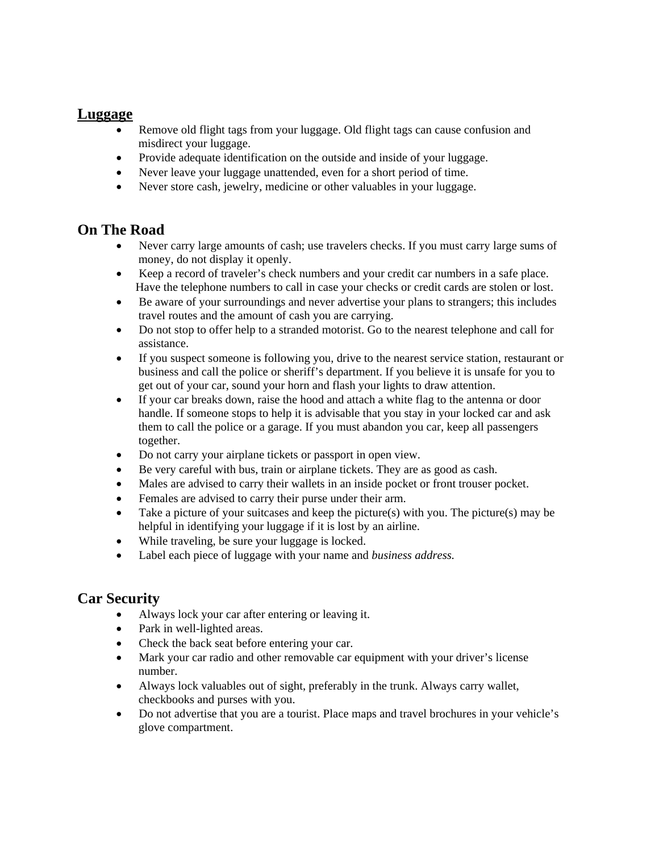#### **Luggage**

- Remove old flight tags from your luggage. Old flight tags can cause confusion and misdirect your luggage.
- Provide adequate identification on the outside and inside of your luggage.
- Never leave your luggage unattended, even for a short period of time.
- Never store cash, jewelry, medicine or other valuables in your luggage.

## **On The Road**

- Never carry large amounts of cash; use travelers checks. If you must carry large sums of money, do not display it openly.
- Keep a record of traveler's check numbers and your credit car numbers in a safe place. Have the telephone numbers to call in case your checks or credit cards are stolen or lost.
- Be aware of your surroundings and never advertise your plans to strangers; this includes travel routes and the amount of cash you are carrying.
- Do not stop to offer help to a stranded motorist. Go to the nearest telephone and call for assistance.
- If you suspect someone is following you, drive to the nearest service station, restaurant or business and call the police or sheriff's department. If you believe it is unsafe for you to get out of your car, sound your horn and flash your lights to draw attention.
- If your car breaks down, raise the hood and attach a white flag to the antenna or door handle. If someone stops to help it is advisable that you stay in your locked car and ask them to call the police or a garage. If you must abandon you car, keep all passengers together.
- Do not carry your airplane tickets or passport in open view.
- Be very careful with bus, train or airplane tickets. They are as good as cash.
- Males are advised to carry their wallets in an inside pocket or front trouser pocket.
- Females are advised to carry their purse under their arm.
- Take a picture of your suitcases and keep the picture(s) with you. The picture(s) may be helpful in identifying your luggage if it is lost by an airline.
- While traveling, be sure your luggage is locked.
- Label each piece of luggage with your name and *business address.*

#### **Car Security**

- Always lock your car after entering or leaving it.
- Park in well-lighted areas.
- Check the back seat before entering your car.
- Mark your car radio and other removable car equipment with your driver's license number.
- Always lock valuables out of sight, preferably in the trunk. Always carry wallet, checkbooks and purses with you.
- Do not advertise that you are a tourist. Place maps and travel brochures in your vehicle's glove compartment.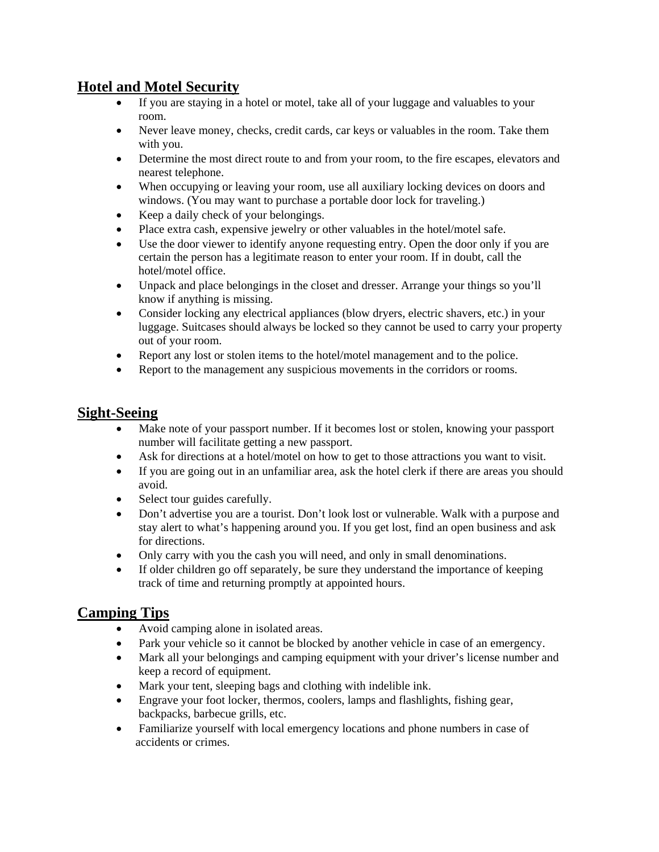#### **Hotel and Motel Security**

- If you are staying in a hotel or motel, take all of your luggage and valuables to your room.
- Never leave money, checks, credit cards, car keys or valuables in the room. Take them with you.
- Determine the most direct route to and from your room, to the fire escapes, elevators and nearest telephone.
- When occupying or leaving your room, use all auxiliary locking devices on doors and windows. (You may want to purchase a portable door lock for traveling.)
- Keep a daily check of your belongings.
- Place extra cash, expensive jewelry or other valuables in the hotel/motel safe.
- Use the door viewer to identify anyone requesting entry. Open the door only if you are certain the person has a legitimate reason to enter your room. If in doubt, call the hotel/motel office.
- Unpack and place belongings in the closet and dresser. Arrange your things so you'll know if anything is missing.
- Consider locking any electrical appliances (blow dryers, electric shavers, etc.) in your luggage. Suitcases should always be locked so they cannot be used to carry your property out of your room.
- Report any lost or stolen items to the hotel/motel management and to the police.
- Report to the management any suspicious movements in the corridors or rooms.

## **Sight-Seeing**

- Make note of your passport number. If it becomes lost or stolen, knowing your passport number will facilitate getting a new passport.
- Ask for directions at a hotel/motel on how to get to those attractions you want to visit.
- If you are going out in an unfamiliar area, ask the hotel clerk if there are areas you should avoid.
- Select tour guides carefully.
- Don't advertise you are a tourist. Don't look lost or vulnerable. Walk with a purpose and stay alert to what's happening around you. If you get lost, find an open business and ask for directions.
- Only carry with you the cash you will need, and only in small denominations.
- If older children go off separately, be sure they understand the importance of keeping track of time and returning promptly at appointed hours.

#### **Camping Tips**

- Avoid camping alone in isolated areas.
- Park your vehicle so it cannot be blocked by another vehicle in case of an emergency.
- Mark all your belongings and camping equipment with your driver's license number and keep a record of equipment.
- Mark your tent, sleeping bags and clothing with indelible ink.
- Engrave your foot locker, thermos, coolers, lamps and flashlights, fishing gear, backpacks, barbecue grills, etc.
- Familiarize yourself with local emergency locations and phone numbers in case of accidents or crimes.